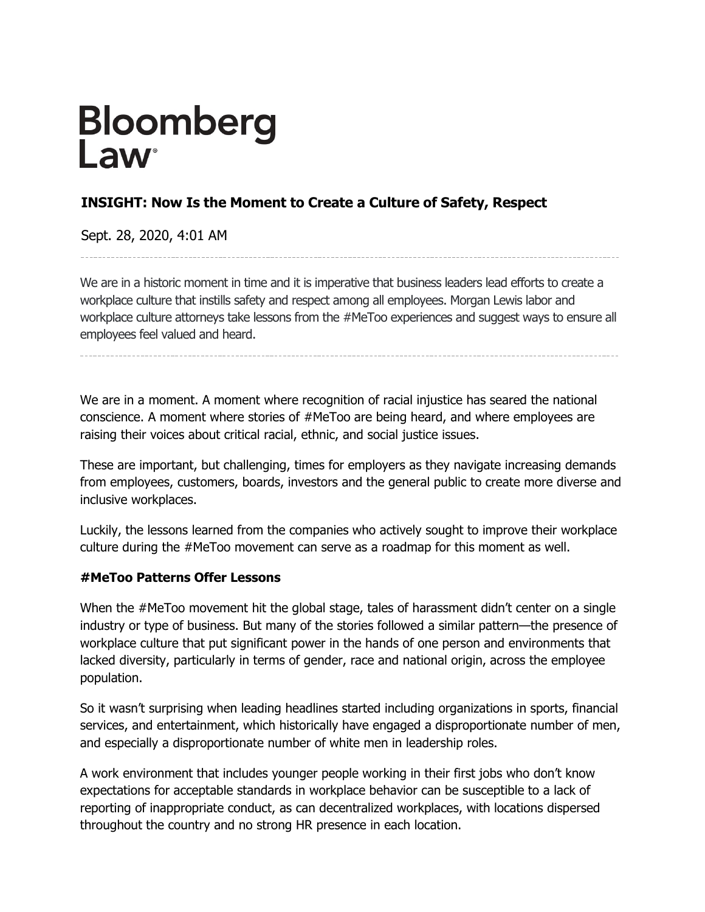# Bloomberg<br>Law<sup>®</sup>

# **INSIGHT: Now Is the Moment to Create a Culture of Safety, Respect**

Sept. 28, 2020, 4:01 AM

We are in a historic moment in time and it is imperative that business leaders lead efforts to create a workplace culture that instills safety and respect among all employees. Morgan Lewis labor and workplace culture attorneys take lessons from the #MeToo experiences and suggest ways to ensure all employees feel valued and heard.

We are in a moment. A moment where recognition of racial injustice has seared the national conscience. A moment where stories of #MeToo are being heard, and where employees are raising their voices about critical racial, ethnic, and social justice issues.

These are important, but challenging, times for employers as they navigate increasing demands from employees, customers, boards, investors and the general public to create more diverse and inclusive workplaces.

Luckily, the lessons learned from the companies who actively sought to improve their workplace culture during the #MeToo movement can serve as a roadmap for this moment as well.

## **#MeToo Patterns Offer Lessons**

When the #MeToo movement hit the global stage, tales of harassment didn't center on a single industry or type of business. But many of the stories followed a similar pattern—the presence of workplace culture that put significant power in the hands of one person and environments that lacked diversity, particularly in terms of gender, race and national origin, across the employee population.

So it wasn't surprising when leading headlines started including organizations in sports, financial services, and entertainment, which historically have engaged a disproportionate number of men, and especially a disproportionate number of white men in leadership roles.

A work environment that includes younger people working in their first jobs who don't know expectations for acceptable standards in workplace behavior can be susceptible to a lack of reporting of inappropriate conduct, as can decentralized workplaces, with locations dispersed throughout the country and no strong HR presence in each location.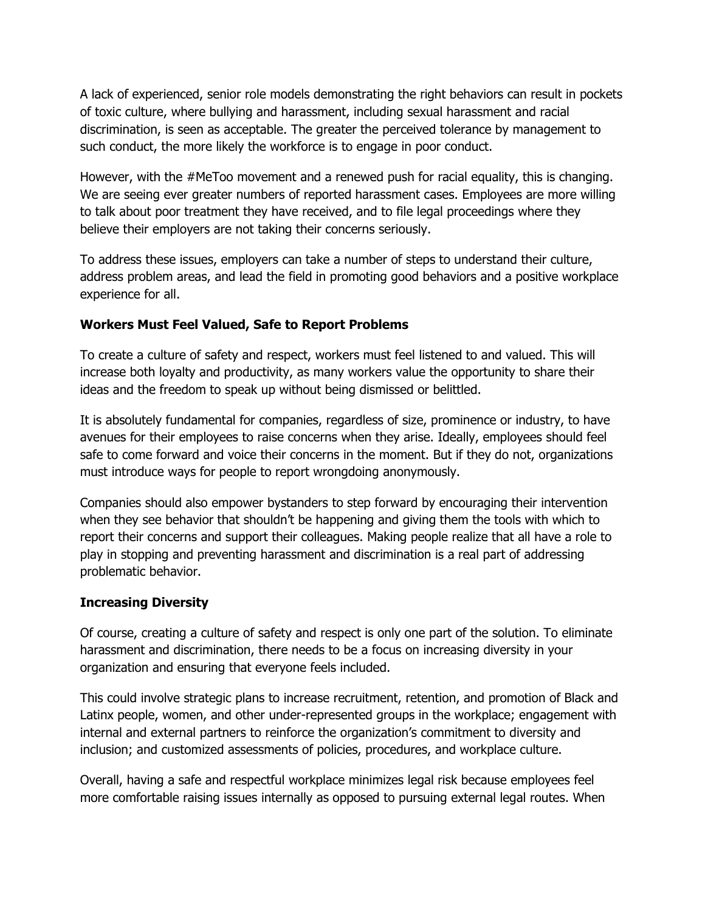A lack of experienced, senior role models demonstrating the right behaviors can result in pockets of toxic culture, where bullying and harassment, including sexual harassment and racial discrimination, is seen as acceptable. The greater the perceived tolerance by management to such conduct, the more likely the workforce is to engage in poor conduct.

However, with the #MeToo movement and a renewed push for racial equality, this is changing. We are seeing ever greater numbers of reported harassment cases. Employees are more willing to talk about poor treatment they have received, and to file legal proceedings where they believe their employers are not taking their concerns seriously.

To address these issues, employers can take a number of steps to understand their culture, address problem areas, and lead the field in promoting good behaviors and a positive workplace experience for all.

## **Workers Must Feel Valued, Safe to Report Problems**

To create a culture of safety and respect, workers must feel listened to and valued. This will increase both loyalty and productivity, as many workers value the opportunity to share their ideas and the freedom to speak up without being dismissed or belittled.

It is absolutely fundamental for companies, regardless of size, prominence or industry, to have avenues for their employees to raise concerns when they arise. Ideally, employees should feel safe to come forward and voice their concerns in the moment. But if they do not, organizations must introduce ways for people to report wrongdoing anonymously.

Companies should also empower bystanders to step forward by encouraging their intervention when they see behavior that shouldn't be happening and giving them the tools with which to report their concerns and support their colleagues. Making people realize that all have a role to play in stopping and preventing harassment and discrimination is a real part of addressing problematic behavior.

## **Increasing Diversity**

Of course, creating a culture of safety and respect is only one part of the solution. To eliminate harassment and discrimination, there needs to be a focus on increasing diversity in your organization and ensuring that everyone feels included.

This could involve strategic plans to increase recruitment, retention, and promotion of Black and Latinx people, women, and other under-represented groups in the workplace; engagement with internal and external partners to reinforce the organization's commitment to diversity and inclusion; and customized assessments of policies, procedures, and workplace culture.

Overall, having a safe and respectful workplace minimizes legal risk because employees feel more comfortable raising issues internally as opposed to pursuing external legal routes. When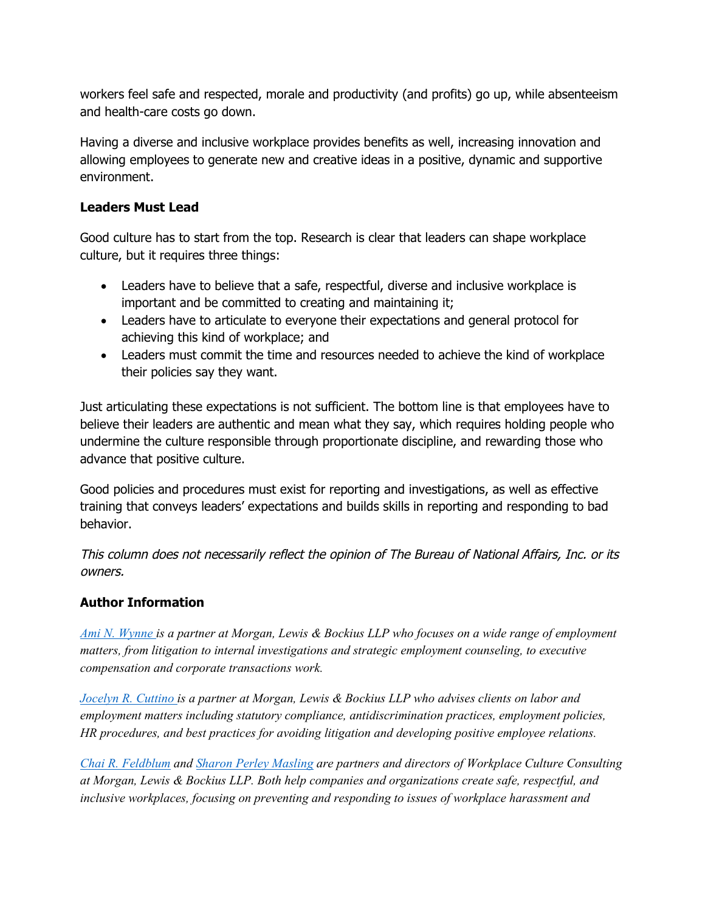workers feel safe and respected, morale and productivity (and profits) go up, while absenteeism and health-care costs go down.

Having a diverse and inclusive workplace provides benefits as well, increasing innovation and allowing employees to generate new and creative ideas in a positive, dynamic and supportive environment.

### **Leaders Must Lead**

Good culture has to start from the top. Research is clear that leaders can shape workplace culture, but it requires three things:

- Leaders have to believe that a safe, respectful, diverse and inclusive workplace is important and be committed to creating and maintaining it;
- Leaders have to articulate to everyone their expectations and general protocol for achieving this kind of workplace; and
- Leaders must commit the time and resources needed to achieve the kind of workplace their policies say they want.

Just articulating these expectations is not sufficient. The bottom line is that employees have to believe their leaders are authentic and mean what they say, which requires holding people who undermine the culture responsible through proportionate discipline, and rewarding those who advance that positive culture.

Good policies and procedures must exist for reporting and investigations, as well as effective training that conveys leaders' expectations and builds skills in reporting and responding to bad behavior.

This column does not necessarily reflect the opinion of The Bureau of National Affairs, Inc. or its owners.

## **Author Information**

*[Ami N. Wynne](https://www.morganlewis.com/bios/amiwynne) is a partner at Morgan, Lewis & Bockius LLP who focuses on a wide range of employment matters, from litigation to internal investigations and strategic employment counseling, to executive compensation and corporate transactions work.*

*[Jocelyn R. Cuttino](https://www.morganlewis.com/bios/jcuttino) is a partner at Morgan, Lewis & Bockius LLP who advises clients on labor and employment matters including statutory compliance, antidiscrimination practices, employment policies, HR procedures, and best practices for avoiding litigation and developing positive employee relations.*

*[Chai R. Feldblum](https://www.morganlewis.com/bios/chaifeldblum) and [Sharon Perley Masling](https://www.morganlewis.com/bios/sharonmasling) are partners and directors of Workplace Culture Consulting at Morgan, Lewis & Bockius LLP. Both help companies and organizations create safe, respectful, and inclusive workplaces, focusing on preventing and responding to issues of workplace harassment and*